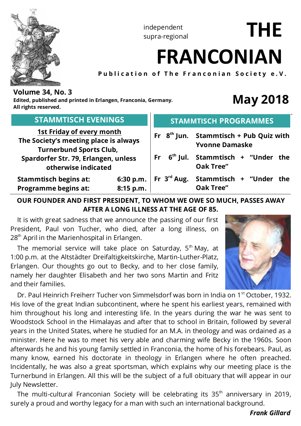

independent supra-regional

# **FRANCONIAN**

**Publication of The Franconian Society e.V.**

# **Volume 34, No. 3**

**Edited, published and printed in Erlangen, Franconia, Germany. All rights reserved.**

# **May 2018**

**THE**

| <b>STAMMTISCH EVENINGS</b><br><b>1st Friday of every month</b><br>The Society's meeting place is always<br><b>Turnerbund Sports Club,</b><br>Spardorfer Str. 79, Erlangen, unless |           |  | <b>STAMMTISCH PROGRAMMES</b> |                                                                                                            |  |  |  |  |  |
|-----------------------------------------------------------------------------------------------------------------------------------------------------------------------------------|-----------|--|------------------------------|------------------------------------------------------------------------------------------------------------|--|--|--|--|--|
|                                                                                                                                                                                   |           |  |                              | Fr $8th$ Jun. Stammtisch + Pub Quiz with<br><b>Yvonne Damaske</b><br>Fr $6th$ Jul. Stammtisch + "Under the |  |  |  |  |  |
| otherwise indicated                                                                                                                                                               |           |  |                              | <b>Oak Tree"</b>                                                                                           |  |  |  |  |  |
| <b>Stammtisch begins at:</b><br>Programme begins at:                                                                                                                              | 8:15 p.m. |  |                              | 6:30 p.m.   Fr $3^{rd}$ Aug. Stammtisch + "Under the<br><b>Oak Tree"</b>                                   |  |  |  |  |  |

# **OUR FOUNDER AND FIRST PRESIDENT, TO WHOM WE OWE SO MUCH, PASSES AWAY AFTER A LONG ILLNESS AT THE AGE OF 85.**

 It is with great sadness that we announce the passing of our first President, Paul von Tucher, who died, after a long illness, on 28<sup>th</sup> April in the Marienhospital in Erlangen.

The memorial service will take place on Saturday,  $5<sup>th</sup>$  May, at 1:00 p.m. at the Altstädter Dreifaltigkeitskirche, Martin-Luther-Platz, Erlangen. Our thoughts go out to Becky, and to her close family, namely her daughter Elisabeth and her two sons Martin and Fritz and their families.



Dr. Paul Heinrich Freiherr Tucher von Simmelsdorf was born in India on 1<sup>st</sup> October, 1932. His love of the great Indian subcontinent, where he spent his earliest years, remained with him throughout his long and interesting life. In the years during the war he was sent to Woodstock School in the Himalayas and after that to school in Britain, followed by several years in the United States, where he studied for an M.A. in theology and was ordained as a minister. Here he was to meet his very able and charming wife Becky in the 1960s. Soon afterwards he and his young family settled in Franconia, the home of his forebears. Paul, as many know, earned his doctorate in theology in Erlangen where he often preached. Incidentally, he was also a great sportsman, which explains why our meeting place is the Turnerbund in Erlangen. All this will be the subject of a full obituary that will appear in our July Newsletter.

The multi-cultural Franconian Society will be celebrating its  $35<sup>th</sup>$  anniversary in 2019, surely a proud and worthy legacy for a man with such an international background.

## *Frank Gillard*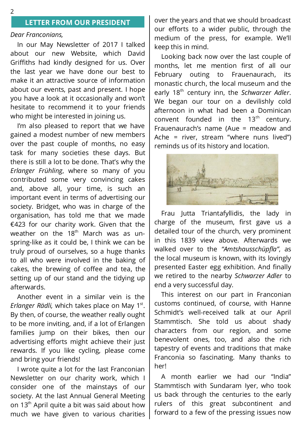#### **LETTER FROM OUR PRESIDENT**

#### *Dear Franconians,*

 In our May Newsletter of 2017 I talked about our new Website, which David Griffiths had kindly designed for us. Over the last year we have done our best to make it an attractive source of information about our events, past and present. I hope you have a look at it occasionally and won't hesitate to recommend it to your friends who might be interested in joining us.

 I'm also pleased to report that we have gained a modest number of new members over the past couple of months, no easy task for many societies these days. But there is still a lot to be done. That's why the *Erlanger Frühling*, where so many of you contributed some very convincing cakes and, above all, your time, is such an important event in terms of advertising our society. Bridget, who was in charge of the organisation, has told me that we made €423 for our charity work. Given that the weather on the 18<sup>th</sup> March was as unspring-like as it could be, I think we can be truly proud of ourselves, so a huge thanks to all who were involved in the baking of cakes, the brewing of coffee and tea, the setting up of our stand and the tidying up afterwards.

 Another event in a similar vein is the *Erlanger Rädli,* which takes place on May 1<sup>st</sup>. By then, of course, the weather really ought to be more inviting, and, if a lot of Erlangen families jump on their bikes, then our advertising efforts might achieve their just rewards. If you like cycling, please come and bring your friends!

 I wrote quite a lot for the last Franconian Newsletter on our charity work, which I consider one of the mainstays of our society. At the last Annual General Meeting on 13<sup>th</sup> April quite a bit was said about how much we have given to various charities over the years and that we should broadcast our efforts to a wider public, through the medium of the press, for example. We'll keep this in mind.

 Looking back now over the last couple of months, let me mention first of all our February outing to Frauenaurach, its monastic church, the local museum and the early 18th century inn, the *Schwarzer Adler*. We began our tour on a devilishly cold afternoon in what had been a Dominican convent founded in the  $13<sup>th</sup>$  century. Frauenaurach's name (Aue = meadow and Ache = river, stream "where nuns lived") reminds us of its history and location.



 Frau Jutta Triantafyllidis, the lady in charge of the museum, first gave us a detailed tour of the church, very prominent in this 1839 view above. Afterwards we walked over to the *"Amtshausschüpfla"*, as the local museum is known, with its lovingly presented Easter egg exhibition. And finally we retired to the nearby *Schwarzer Adler* to end a very successful day.

 This interest on our part in Franconian customs continued, of course, with Hanne Schmidt's well-received talk at our April Stammtisch. She told us about shady characters from our region, and some benevolent ones, too, and also the rich tapestry of events and traditions that make Franconia so fascinating. Many thanks to her!

 A month earlier we had our "India" Stammtisch with Sundaram Iyer, who took us back through the centuries to the early rulers of this great subcontinent and forward to a few of the pressing issues now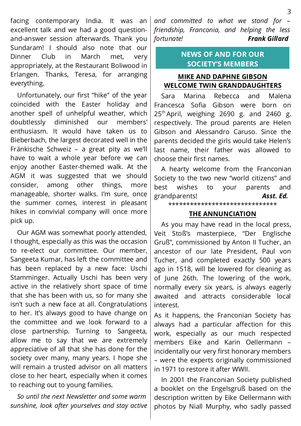facing contemporary India. It was an excellent talk and we had a good questionand-answer session afterwards. Thank you Sundaram! I should also note that our Dinner Club in March met, very appropriately, at the Restaurant Boliwood in Erlangen. Thanks, Teresa, for arranging everything.

 Unfortunately, our first "hike" of the year coincided with the Easter holiday and another spell of unhelpful weather, which doubtlessly diminished our members' enthusiasm. It would have taken us to Bieberbach, the largest decorated well in the Fränkische Schweiz – a great pity as we'll have to wait a whole year before we can enjoy another Easter-themed walk. At the AGM it was suggested that we should consider, among other things, more manageable, shorter walks. I'm sure, once the summer comes, interest in pleasant hikes in convivial company will once more pick up.

 Our AGM was somewhat poorly attended, I thought, especially as this was the occasion to re-elect our committee. Our member, Sangeeta Kumar, has left the committee and has been replaced by a new face: Uschi Stamminger. Actually Uschi has been very active in the relatively short space of time that she has been with us, so for many she isn't such a new face at all. Congratulations to her. It's always good to have change on the committee and we look forward to a close partnership. Turning to Sangeeta, allow me to say that we are extremely appreciative of all that she has done for the society over many, many years. I hope she will remain a trusted advisor on all matters close to her heart, especially when it comes to reaching out to young families.

 *So until the next Newsletter and some warm sunshine, look after yourselves and stay active*

*and committed to what we stand for – friendship, Franconia, and helping the less fortunate! Frank Gillard*

# **NEWS OF AND FOR OUR SOCIETY'S MEMBERS**

# **MIKE AND DAPHNE GIBSON WELCOME TWIN GRANDDAUGHTERS**

 Sara Marina Rebecca and Malena Francesca Sofia Gibson were born on  $25<sup>th</sup>$  April, weighing 2690 g. and 2460 g. respectively. The proud parents are Helen Gibson and Alessandro Caruso. Since the parents decided the girls would take Helen's last name, their father was allowed to choose their first names.

 A hearty welcome from the Franconian Society to the two new "world citizens" and best wishes to your parents and grandparents! *Asst. Ed.*

\*\*\*\*\*\*\*\*\*\*\*\*\*\*\*\*\*\*\*\*\*\*\*\*\*\*\*\*\*\*

#### **THE ANNUNCIATION**

 As you may have read in the local press, Veit Stoß's masterpiece, "Der Englische Gruß", commissioned by Anton II Tucher, an ancestor of our late President, Paul von Tucher, and completed exactly 500 years ago in 1518, will be lowered for cleaning as of June 26th. The lowering of the work, normally every six years, is always eagerly awaited and attracts considerable local interest.

As it happens, the Franconian Society has always had a particular affection for this work, especially as our much respected members Eike and Karin Oellermann – incidentally our very first honorary members – were the experts originally commissioned in 1971 to restore it after WWII.

 In 2001 the Franconian Society published a booklet on the Engelsgruß based on the description written by Eike Oellermann with photos by Niall Murphy, who sadly passed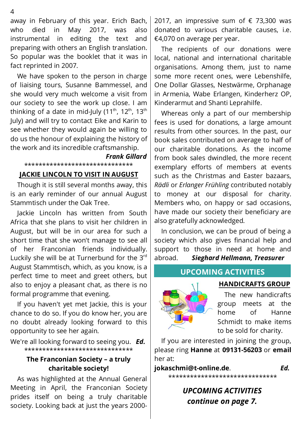away in February of this year. Erich Bach, who died in May 2017, was also instrumental in editing the text and preparing with others an English translation. So popular was the booklet that it was in fact reprinted in 2007.

 We have spoken to the person in charge of liaising tours, Susanne Bammessel, and she would very much welcome a visit from our society to see the work up close. I am thinking of a date in mid-July (11<sup>th</sup>, 12<sup>th</sup>, 13<sup>th</sup> July) and will try to contact Eike and Karin to see whether they would again be willing to do us the honour of explaining the history of the work and its incredible craftsmanship.

*Frank Gillard*

\*\*\*\*\*\*\*\*\*\*\*\*\*\*\*\*\*\*\*\*\*\*\*\*\*\*\*\*\*\*

#### **JACKIE LINCOLN TO VISIT IN AUGUST**

 Though it is still several months away, this is an early reminder of our annual August Stammtisch under the Oak Tree.

 Jackie Lincoln has written from South Africa that she plans to visit her children in August, but will be in our area for such a short time that she won't manage to see all of her Franconian friends individually. Luckily she will be at Turnerbund for the 3rd August Stammtisch, which, as you know, is a perfect time to meet and greet others, but also to enjoy a pleasant chat, as there is no formal programme that evening.

 If you haven't yet met Jackie, this is your chance to do so. If you do know her, you are no doubt already looking forward to this opportunity to see her again.

We're all looking forward to seeing you. *Ed.* \*\*\*\*\*\*\*\*\*\*\*\*\*\*\*\*\*\*\*\*\*\*\*\*\*\*\*\*\*\*

## **The Franconian Society – a truly charitable society!**

 As was highlighted at the Annual General Meeting in April, the Franconian Society prides itself on being a truly charitable society. Looking back at just the years 20002017, an impressive sum of  $\epsilon$  73,300 was donated to various charitable causes, i.e. €4,070 on average per year.

 The recipients of our donations were local, national and international charitable organisations. Among them, just to name some more recent ones, were Lebenshilfe, One Dollar Glasses, Nestwärme, Orphanage in Armenia, Wabe Erlangen, Kinderherz OP, Kinderarmut and Shanti Leprahilfe.

 Whereas only a part of our membership fees is used for donations, a large amount results from other sources. In the past, our book sales contributed on average to half of our charitable donations. As the income from book sales dwindled, the more recent exemplary efforts of members at events such as the Christmas and Easter bazaars, *Rädli* or *Erlanger Frühling* contributed notably to money at our disposal for charity. Members who, on happy or sad occasions, have made our society their beneficiary are also gratefully acknowledged.

 In conclusion, we can be proud of being a society which also gives financial help and support to those in need at home and abroad. *Sieghard Hellmann, Treasurer*

## **UPCOMING ACTIVITIES**



**HANDICRAFTS GROUP**

 The new handicrafts group meets at the home of Hanne Schmidt to make items to be sold for charity.

 If you are interested in joining the group, please ring **Hanne** at **09131-56203** or **email** her at:

## **jokaschmi@t-online.de**. *Ed.*

\*\*\*\*\*\*\*\*\*\*\*\*\*\*\*\*\*\*\*\*\*\*\*\*\*\*\*\*\*\*

*UPCOMING ACTIVITIES continue on page 7.*

4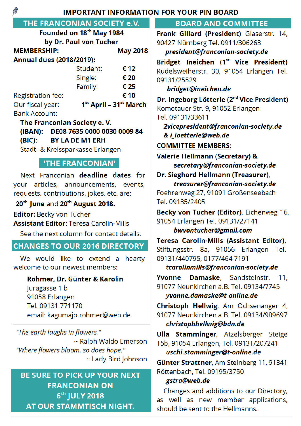**IMPORTANT INFORMATION FOR YOUR PIN BOARD** 

# THE FRANCONIAN SOCIETY e.V.

|                              | Founded on 18th May 1984 |                            |  |  |  |  |  |  |
|------------------------------|--------------------------|----------------------------|--|--|--|--|--|--|
| by Dr. Paul von Tucher       |                          |                            |  |  |  |  |  |  |
| <b>MEMBERSHIP:</b>           | <b>May 2018</b>          |                            |  |  |  |  |  |  |
| Annual dues (2018/2019):     |                          |                            |  |  |  |  |  |  |
|                              | Student:                 | € 12                       |  |  |  |  |  |  |
|                              | Single:                  | € 20                       |  |  |  |  |  |  |
|                              | Family:                  | € 25                       |  |  |  |  |  |  |
| Registration fee:            |                          | € 10                       |  |  |  |  |  |  |
| Our fiscal year:             |                          | $1st$ April – $31st$ March |  |  |  |  |  |  |
| <b>Bank Account:</b>         |                          |                            |  |  |  |  |  |  |
| The Eranconian Society e. V. |                          |                            |  |  |  |  |  |  |

The Franconian Society e.V. (IBAN): DE08 7635 0000 0030 0009 84

**BY LA DE M1 ERH**  $(BIC):$ 

Stadt- & Kreissparkasse Erlangen

# **'THE FRANCONIAN'**

Next Franconian deadline dates for your articles, announcements, events. requests, contributions, jokes, etc. are:

# 20<sup>th</sup> June and 20<sup>th</sup> August 2018.

Editor: Becky von Tucher

**Assistant Editor: Teresa Carolin-Mills** 

See the next column for contact details.

# **CHANGES TO OUR 2016 DIRECTORY**

We would like to extend a hearty welcome to our newest members:

# Rohmer, Dr. Günter & Karolin

Juragasse 1 b 91058 Erlangen Tel. 09131 771170 email: kagumajo.rohmer@web.de

"The earth laughs in flowers." ~ Ralph Waldo Emerson "Where flowers bloom, so does hope." ~ Lady Bird Johnson

# **BE SURE TO PICK UP YOUR NEXT FRANCONIAN ON** 6th JULY 2018 AT OUR STAMMTISCH NIGHT.

# **BOARD AND COMMITTEE**

Frank Gillard (President) Glaserstr. 14, 90427 Nürnberg Tel. 0911/306263

president@franconian-society.de

Bridget Ineichen (1st Vice President) Rudelsweiherstr. 30, 91054 Erlangen Tel. 09131/25529

bridget@ineichen.de

Dr. Ingeborg Lötterle (2<sup>nd</sup> Vice President) Komotauer Str. 9, 91052 Erlangen Tel. 09131/33611

2vicepresident@franconian-society.de & i loetterle@web.de

# **COMMITTEE MEMBERS:**

Valerie Hellmann (Secretary) & secretary@franconian-society.de

Dr. Sieghard Hellmann (Treasurer), treasurer@franconian-society.de Foehrenweg 27, 91091 Großenseebach

Tel. 09135/2405

Becky von Tucher (Editor), Eichenweg 16, 91054 Erlangen Tel. 09131/27141

# bwvontucher@gmail.com

Teresa Carolin-Mills (Assistant Editor), Stiftungsstr. 8a, 91056 Erlangen Tel. 09131/440795, 0177/464 7191

tcarolinmills@franconian-society.de

Yvonne Damaske, Sandsteinstr.  $11.$ 91077 Neunkirchen a.B. Tel. 09134/7745 yvonne.damaske@t-online.de

Christoph Hellwig, Am Ochsenanger 4, 91077 Neunkirchen a.B. Tel. 09134/909697 christophhellwig@bdn.de

Ulla Stamminger, Atzelsberger Steige 15b, 91054 Erlangen, Tel. 09131/207241

uschi.stamminger@t-online.de

Günter Strattner, Am Steinberg 11, 91341 Röttenbach, Tel. 09195/3750

# gstra@web.de

Changes and additions to our Directory, as well as new member applications, should be sent to the Hellmanns.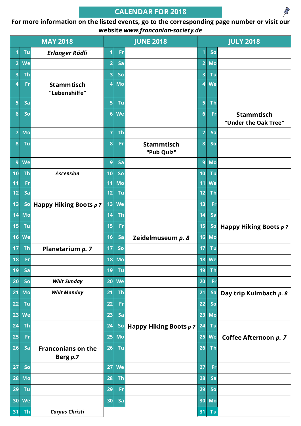# **CALENDAR FOR 2018**

 $\otimes$ 

## **For more information on the listed events, go to the corresponding page number or visit our website** *www.franconian-society.de*

|                 |           | <b>MAY 2018</b><br><b>JUNE 2018</b>     |                  |              | <b>JULY 2018</b>                |                 |              |                                           |
|-----------------|-----------|-----------------------------------------|------------------|--------------|---------------------------------|-----------------|--------------|-------------------------------------------|
|                 | Tu        | <b>Erlanger Rädli</b>                   | 1                | Fr           |                                 | 1               | So           |                                           |
| $\overline{2}$  | We        |                                         | $\overline{2}$   | Sa           |                                 | $\overline{2}$  | Mo           |                                           |
| 3               | <b>Th</b> |                                         | 3                | So           |                                 | 3               | Tu           |                                           |
| 4               | Fr        | <b>Stammtisch</b><br>"Lebenshilfe"      | $\boldsymbol{4}$ | Mo           |                                 | 4               | We           |                                           |
| 5               | Sa        |                                         | 5                | Tu           |                                 | 5               | <b>Th</b>    |                                           |
| $6\phantom{1}$  | So        |                                         | $6\phantom{1}$   | We           |                                 | $6\phantom{1}6$ | Fr           | <b>Stammtisch</b><br>"Under the Oak Tree" |
| 7               | Mo        |                                         | 7                | <b>Th</b>    |                                 | 7               | Sa           |                                           |
| 8               | Tu        |                                         | $\boldsymbol{8}$ | Fr           | <b>Stammtisch</b><br>"Pub Quiz" | 8               | So           |                                           |
| 9               | We        |                                         | 9                | Sa           |                                 | 9               | Mo           |                                           |
| 10              | <b>Th</b> | <b>Ascension</b>                        | 10               | So           |                                 | 10              | Tu           |                                           |
| 11              | Fr        |                                         | 11               | Mo           |                                 | 11              | We           |                                           |
| 12              | Sa        |                                         | 12               | Tu           |                                 | 12              | <b>Th</b>    |                                           |
| 13              | So        | Happy Hiking Boots p 7                  | 13               | We           |                                 | 13              | Fr           |                                           |
| 14              | Mo        |                                         | 14               | <b>Th</b>    |                                 | 14              | Sa           |                                           |
| 15              | Tu        |                                         | 15               | Fr           |                                 | 15              | So           | Happy Hiking Boots p 7                    |
| 16              | We        |                                         | 16               | Sa           | Zeidelmuseum p. 8               | 16              | Mo           |                                           |
| 17              | <b>Th</b> | Planetarium p. 7                        | 17               | So           |                                 | 17              | Tu           |                                           |
| 18              | Fr        |                                         |                  | <b>18 Mo</b> |                                 |                 | <b>18 We</b> |                                           |
| 19              | Sa        |                                         | 19               | Tu           |                                 | 19              | <b>Th</b>    |                                           |
| 20              | So        | <b>Whit Sunday</b>                      | 20               | We           |                                 | 20              | Fr           |                                           |
| 21              | Mo        | <b>Whit Monday</b>                      | 21               | <b>Th</b>    |                                 | 21              | Sa           | Day trip Kulmbach p. 8                    |
| 22              | Tu        |                                         | 22               | Fr           |                                 | 22              | So           |                                           |
| 23              | We        |                                         | 23               | Sa           |                                 | 23              | Mo           |                                           |
| 24              | <b>Th</b> |                                         | 24               | So           | Happy Hiking Boots p 7          | 24              | Tu           |                                           |
| 25              | Fr        |                                         | 25               | Mo           |                                 | 25              | We           | Coffee Afternoon p. 7                     |
| 26              | Sa        | <b>Franconians on the</b><br>Berg $p.7$ | 26               | Tu           |                                 | 26              | <b>Th</b>    |                                           |
| 27              | So        |                                         | 27               | We           |                                 | 27              | Fr           |                                           |
| 28              | Mo        |                                         | 28               | <b>Th</b>    |                                 | 28              | Sa           |                                           |
| 29              | Tu        |                                         | 29               | Fr           |                                 | 29              | So           |                                           |
| 30 <sup>°</sup> | We        |                                         | 30               | Sa           |                                 | 30              | Mo           |                                           |
| 31              | <b>Th</b> | <b>Corpus Christi</b>                   |                  |              |                                 | 31              | Tu           |                                           |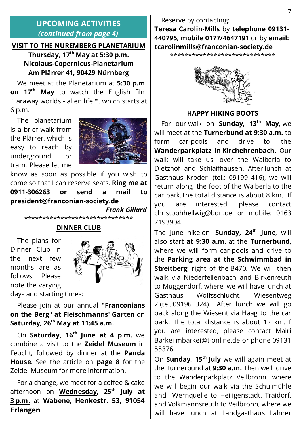# **UPCOMING ACTIVITIES** *(continued from page 4)*

# **VISIT TO THE NUREMBERG PLANETARIUM**

**Thursday, 17th May at 5:30 p.m. Nicolaus-Copernicus-Planetarium Am Plärrer 41, 90429 Nürnberg**

 We meet at the Planetarium at **5:30 p.m. on 17th May** to watch the English film "Faraway worlds - alien life?". which starts at 6 p.m.

 The planetarium is a brief walk from the Plärrer, which is easy to reach by underground or tram. Please let me



know as soon as possible if you wish to come so that I can reserve seats. **Ring me at 0911-306263 or send a mail to president@franconian-society.de**

*Frank Gillard*

\*\*\*\*\*\*\*\*\*\*\*\*\*\*\*\*\*\*\*\*\*\*\*\*\*\*\*\*\*\*

#### **DINNER CLUB**

 The plans for Dinner Club in the next few months are as follows. Please note the varying days and starting times:



 Please join at our annual **"Franconians on the Berg" at Fleischmanns' Garten** on **Saturday, 26th May at 11:45 a.m.**

 On **Saturday, 16th June at 4 p.m.** we combine a visit to the **Zeidel Museum** in Feucht, followed by dinner at the **Panda House**. See the article on **page 8** for the Zeidel Museum for more information.

 For a change, we meet for a coffee & cake afternoon on **Wednesday, 25th July at 3 p.m.** at **Wabene, Henkestr. 53, 91054 Erlangen**.

 Reserve by contacting: **Teresa Carolin-Mills** by **telephone 09131- 440795, mobile 0177/4647191** or by **email: tcarolinmills@franconian-society.de**

\*\*\*\*\*\*\*\*\*\*\*\*\*\*\*\*\*\*\*\*\*\*\*\*\*\*\*\*\*



#### **HAPPY HIKING BOOTS**

 For our walk on **Sunday, 13th May**, we will meet at the **Turnerbund at 9:30 a.m.** to form car-pools and drive to the **Wanderparkplatz in Kirchehrenbach**. Our walk will take us over the Walberla to Dietzhof and Schlaifhausen. After lunch at Gasthaus Kroder (tel.: 09199 416), we will return along the foot of the Walberla to the car park.The total distance is about 8 km. If you are interested, please contact christophhellwig@bdn.de or mobile: 0163 7193904.

The June hike on **Sunday, 24th June**, will also start **at 9:30 a.m.** at the **Turnerbund**, where we will form car-pools and drive to the **Parking area at the Schwimmbad in Streitberg**, right of the B470. We will then walk via Niederfellenbach and Birkenreuth to Muggendorf, where we will have lunch at Gasthaus Wolfsschlucht, Wiesentweg 2 (tel.:09196 324). After lunch we will go back along the Wiesent via Haag to the car park. The total distance is about 12 km. If you are interested, please contact Mairi Barkei mbarkei@t-online.de or phone 09131 55376.

On **Sunday, 15th July** we will again meet at the Turnerbund at **9:30 a.m.** Then we'll drive to the Wanderparkplatz Veilbronn, where we will begin our walk via the Schulmühle and Wernquelle to Heiligenstadt, Traidorf, and Volkmannsreuth to Veilbronn, where we will have lunch at Landgasthaus Lahner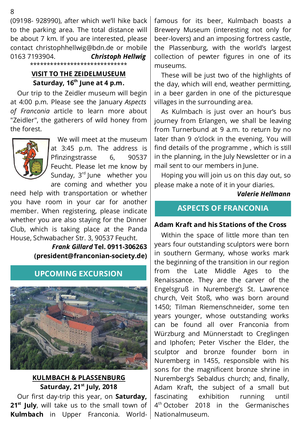(09198- 928990), after which we'll hike back to the parking area. The total distance will be about 7 km. If you are interested, please contact christophhellwig@bdn.de or mobile 0163 7193904. *Christoph Hellwig*

\*\*\*\*\*\*\*\*\*\*\*\*\*\*\*\*\*\*\*\*\*\*\*\*\*\*\*\*\*

#### **VISIT TO THE ZEIDELMUSEUM** Saturday, 16<sup>th</sup> June at 4 p.m.

 Our trip to the Zeidler museum will begin at 4:00 p.m. Please see the January *Aspects of Franconia* article to learn more about "Zeidler", the gatherers of wild honey from the forest.



 We will meet at the museum at 3:45 p.m. The address is Pfinzingstrasse 6, 90537 Feucht. Please let me know by Sunday,  $3<sup>rd</sup>$  June whether you are coming and whether you

need help with transportation or whether you have room in your car for another member. When registering, please indicate whether you are also staying for the Dinner Club, which is taking place at the Panda House, Schwabacher Str. 3, 90537 Feucht.

> *Frank Gillard* **Tel. 0911-306263 (president@franconian-society.de)**

# **UPCOMING EXCURSION**



#### **KULMBACH & PLASSENBURG Saturday, 21st July, 2018**

 Our first day-trip this year, on **Saturday,** 21<sup>st</sup> July, will take us to the small town of **Kulmbach** in Upper Franconia. World-

famous for its beer, Kulmbach boasts a Brewery Museum (interesting not only for beer-lovers) and an imposing fortress castle, the Plassenburg, with the world's largest collection of pewter figures in one of its museums.

 These will be just two of the highlights of the day, which will end, weather permitting, in a beer garden in one of the picturesque villages in the surrounding area.

 As Kulmbach is just over an hour's bus journey from Erlangen, we shall be leaving from Turnerbund at 9 a.m. to return by no later than 9 o'clock in the evening. You will find details of the programme , which is still in the planning, in the July Newsletter or in a mail sent to our members in June.

 Hoping you will join us on this day out, so please make a note of it in your diaries.

*Valerie Hellmann*

# **ASPECTS OF FRANCONIA**

#### **Adam Kraft and his Stations of the Cross**

 Within the space of little more than ten years four outstanding sculptors were born in southern Germany, whose works mark the beginning of the transition in our region from the Late Middle Ages to the Renaissance. They are the carver of the Engelsgruß in Nuremberg's St. Lawrence church, Veit Stoß, who was born around 1450; Tilman Riemenschneider, some ten years younger, whose outstanding works can be found all over Franconia from Würzburg and Münnerstadt to Creglingen and Iphofen; Peter Vischer the Elder, the sculptor and bronze founder born in Nuremberg in 1455, responsible with his sons for the magnificent bronze shrine in Nuremberg's Sebaldus church; and, finally, Adam Kraft, the subject of a small but fascinating exhibition running until 4<sup>th</sup> October 2018 in the Germanisches Nationalmuseum.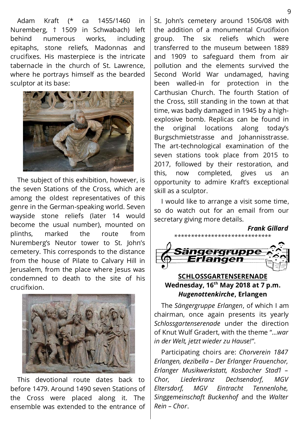Adam Kraft (\* ca 1455/1460 in Nuremberg, † 1509 in Schwabach) left behind numerous works, including epitaphs, stone reliefs, Madonnas and crucifixes. His masterpiece is the intricate tabernacle in the church of St. Lawrence, where he portrays himself as the bearded sculptor at its base:



 The subject of this exhibition, however, is the seven Stations of the Cross, which are among the oldest representatives of this genre in the German-speaking world. Seven wayside stone reliefs (later 14 would become the usual number), mounted on plinths, marked the route from Nuremberg's Neutor tower to St. John's cemetery. This corresponds to the distance from the house of Pilate to Calvary Hill in Jerusalem, from the place where Jesus was condemned to death to the site of his crucifixion.



 This devotional route dates back to before 1479. Around 1490 seven Stations of the Cross were placed along it. The ensemble was extended to the entrance of

St. John's cemetery around 1506/08 with the addition of a monumental Crucifixion group. The six reliefs which were transferred to the museum between 1889 and 1909 to safeguard them from air pollution and the elements survived the Second World War undamaged, having been walled-in for protection in the Carthusian Church. The fourth Station of the Cross, still standing in the town at that time, was badly damaged in 1945 by a highexplosive bomb. Replicas can be found in the original locations along today's Burgschmietstrasse and Johannisstrasse. The art-technological examination of the seven stations took place from 2015 to 2017, followed by their restoration, and this, now completed, gives us an opportunity to admire Kraft's exceptional skill as a sculptor.

 I would like to arrange a visit some time, so do watch out for an email from our secretary giving more details.

*Frank Gillard*



### **SCHLOSSGARTENSERENADE Wednesday, 16th May 2018 at 7 p.m.** *Hugenottenkirche***, Erlangen**

 The *Sängergruppe Erlangen*, of which I am chairman, once again presents its yearly *Schlossgartenserenade* under the direction of Knut Wulf Gradert, with the theme "*…war in der Welt, jetzt wieder zu Hause!"*.

 Participating choirs are: *Chorverein 1847 Erlangen, dezibella – Der Erlanger Frauenchor, Erlanger Musikwerkstatt, Kosbacher Stad'l – Chor, Liederkranz Dechsendorf, MGV Eltersdorf, MGV Eintracht Tennenlohe, Singgemeinschaft Buckenhof* and the *Walter Rein – Chor*.